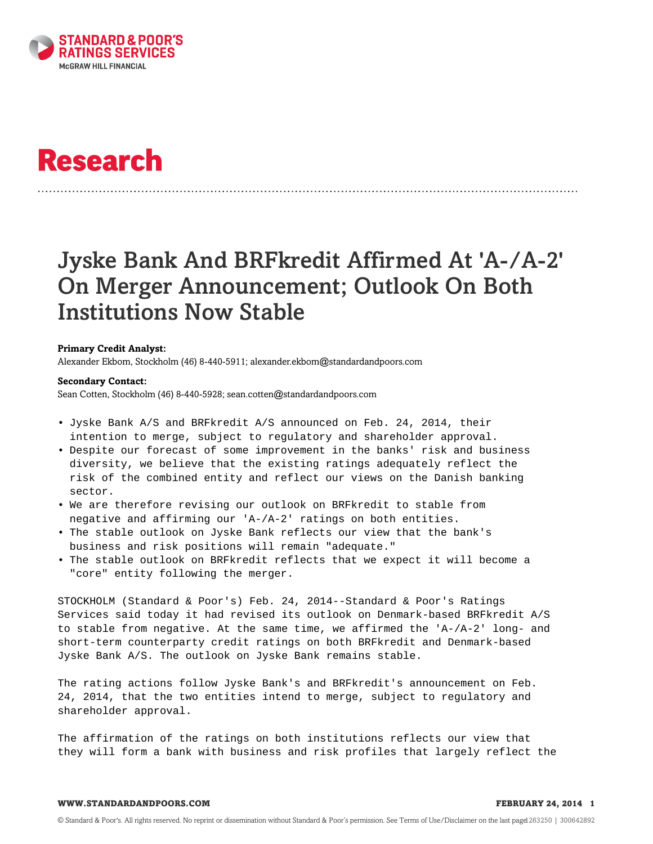

# **Research**

# Jyske Bank And BRFkredit Affirmed At 'A-/A-2' On Merger Announcement; Outlook On Both Institutions Now Stable

## **Primary Credit Analyst:**

Alexander Ekbom, Stockholm (46) 8-440-5911; alexander.ekbom@standardandpoors.com

#### **Secondary Contact:**

Sean Cotten, Stockholm (46) 8-440-5928; sean.cotten@standardandpoors.com

- Jyske Bank A/S and BRFkredit A/S announced on Feb. 24, 2014, their intention to merge, subject to regulatory and shareholder approval.
- Despite our forecast of some improvement in the banks' risk and business diversity, we believe that the existing ratings adequately reflect the risk of the combined entity and reflect our views on the Danish banking sector.
- We are therefore revising our outlook on BRFkredit to stable from negative and affirming our 'A-/A-2' ratings on both entities.
- The stable outlook on Jyske Bank reflects our view that the bank's business and risk positions will remain "adequate."
- The stable outlook on BRFkredit reflects that we expect it will become a "core" entity following the merger.

STOCKHOLM (Standard & Poor's) Feb. 24, 2014--Standard & Poor's Ratings Services said today it had revised its outlook on Denmark-based BRFkredit A/S to stable from negative. At the same time, we affirmed the 'A-/A-2' long- and short-term counterparty credit ratings on both BRFkredit and Denmark-based Jyske Bank A/S. The outlook on Jyske Bank remains stable.

The rating actions follow Jyske Bank's and BRFkredit's announcement on Feb. 24, 2014, that the two entities intend to merge, subject to regulatory and shareholder approval.

The affirmation of the ratings on both institutions reflects our view that they will form a bank with business and risk profiles that largely reflect the

#### **WWW.STANDARDANDPOORS.COM FEBRUARY 24, 2014 1**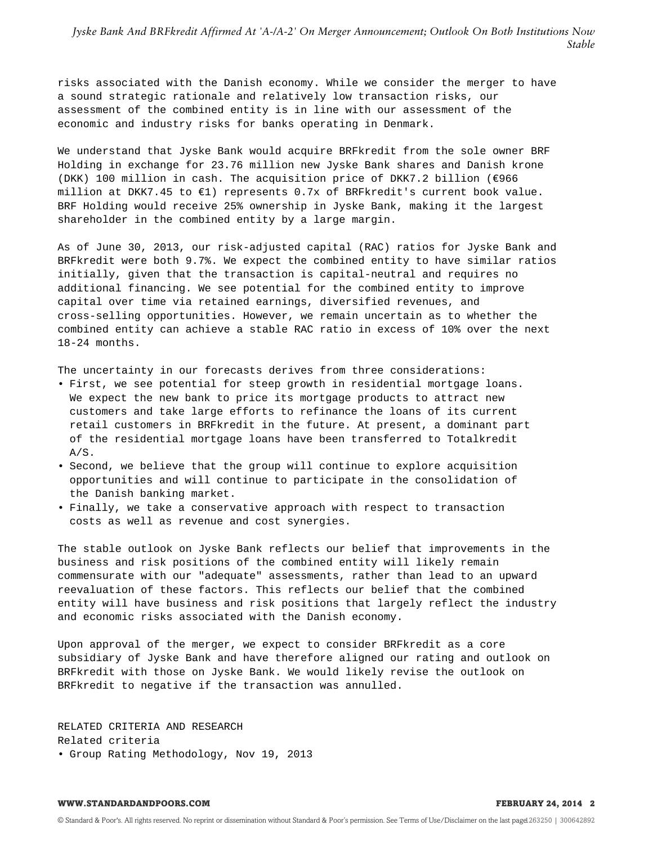*Jyske Bank And BRFkredit Affirmed At 'A-/A-2' On Merger Announcement; Outlook On Both Institutions Now Stable*

risks associated with the Danish economy. While we consider the merger to have a sound strategic rationale and relatively low transaction risks, our assessment of the combined entity is in line with our assessment of the economic and industry risks for banks operating in Denmark.

We understand that Jyske Bank would acquire BRFkredit from the sole owner BRF Holding in exchange for 23.76 million new Jyske Bank shares and Danish krone (DKK) 100 million in cash. The acquisition price of DKK7.2 billion (€966 million at DKK7.45 to €1) represents 0.7x of BRFkredit's current book value. BRF Holding would receive 25% ownership in Jyske Bank, making it the largest shareholder in the combined entity by a large margin.

As of June 30, 2013, our risk-adjusted capital (RAC) ratios for Jyske Bank and BRFkredit were both 9.7%. We expect the combined entity to have similar ratios initially, given that the transaction is capital-neutral and requires no additional financing. We see potential for the combined entity to improve capital over time via retained earnings, diversified revenues, and cross-selling opportunities. However, we remain uncertain as to whether the combined entity can achieve a stable RAC ratio in excess of 10% over the next 18-24 months.

The uncertainty in our forecasts derives from three considerations:

- First, we see potential for steep growth in residential mortgage loans. We expect the new bank to price its mortgage products to attract new customers and take large efforts to refinance the loans of its current retail customers in BRFkredit in the future. At present, a dominant part of the residential mortgage loans have been transferred to Totalkredit A/S.
- Second, we believe that the group will continue to explore acquisition opportunities and will continue to participate in the consolidation of the Danish banking market.
- Finally, we take a conservative approach with respect to transaction costs as well as revenue and cost synergies.

The stable outlook on Jyske Bank reflects our belief that improvements in the business and risk positions of the combined entity will likely remain commensurate with our "adequate" assessments, rather than lead to an upward reevaluation of these factors. This reflects our belief that the combined entity will have business and risk positions that largely reflect the industry and economic risks associated with the Danish economy.

Upon approval of the merger, we expect to consider BRFkredit as a core subsidiary of Jyske Bank and have therefore aligned our rating and outlook on BRFkredit with those on Jyske Bank. We would likely revise the outlook on BRFkredit to negative if the transaction was annulled.

RELATED CRITERIA AND RESEARCH Related criteria • Group Rating Methodology, Nov 19, 2013

#### **WWW.STANDARDANDPOORS.COM FEBRUARY 24, 2014 2**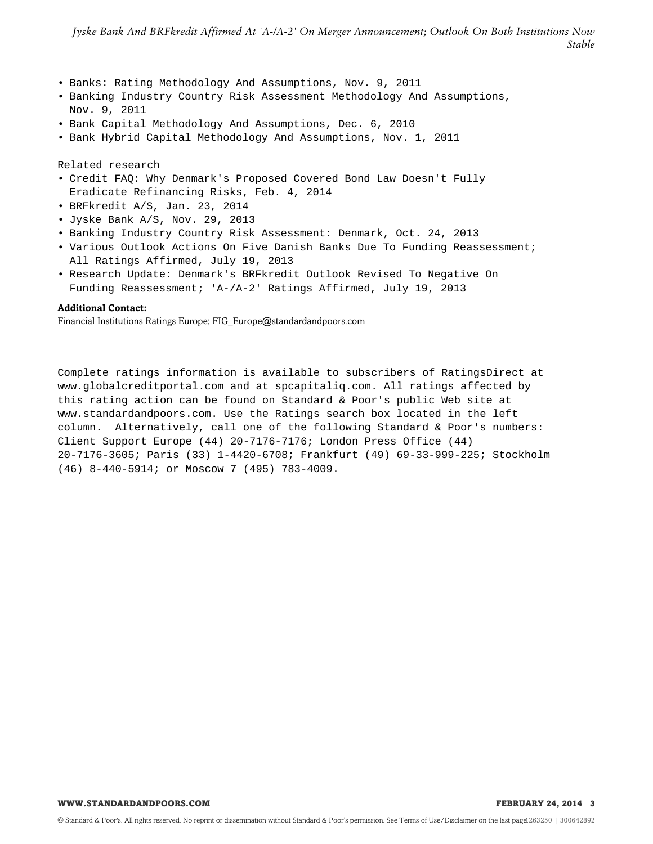- Banks: Rating Methodology And Assumptions, Nov. 9, 2011
- Banking Industry Country Risk Assessment Methodology And Assumptions, Nov. 9, 2011
- Bank Capital Methodology And Assumptions, Dec. 6, 2010
- Bank Hybrid Capital Methodology And Assumptions, Nov. 1, 2011

Related research

- Credit FAQ: Why Denmark's Proposed Covered Bond Law Doesn't Fully Eradicate Refinancing Risks, Feb. 4, 2014
- BRFkredit A/S, Jan. 23, 2014
- Jyske Bank A/S, Nov. 29, 2013
- Banking Industry Country Risk Assessment: Denmark, Oct. 24, 2013
- Various Outlook Actions On Five Danish Banks Due To Funding Reassessment; All Ratings Affirmed, July 19, 2013
- Research Update: Denmark's BRFkredit Outlook Revised To Negative On Funding Reassessment; 'A-/A-2' Ratings Affirmed, July 19, 2013

### **Additional Contact:**

Financial Institutions Ratings Europe; FIG\_Europe@standardandpoors.com

Complete ratings information is available to subscribers of RatingsDirect at www.globalcreditportal.com and at spcapitaliq.com. All ratings affected by this rating action can be found on Standard & Poor's public Web site at www.standardandpoors.com. Use the Ratings search box located in the left column. Alternatively, call one of the following Standard & Poor's numbers: Client Support Europe (44) 20-7176-7176; London Press Office (44) 20-7176-3605; Paris (33) 1-4420-6708; Frankfurt (49) 69-33-999-225; Stockholm (46) 8-440-5914; or Moscow 7 (495) 783-4009.